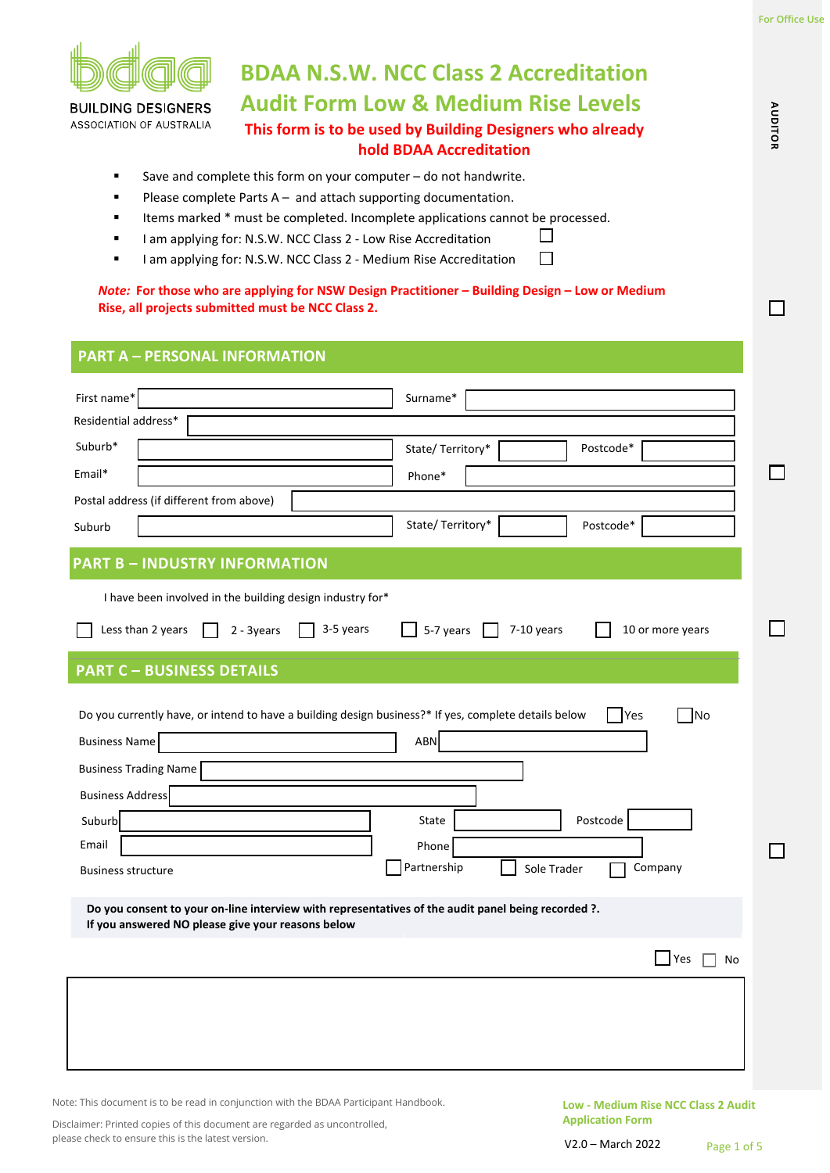**AUDITOR**

 $\mathsf{L}$ 

AUDITOR



# **BDAA N.S.W. NCC Class 2 Accreditation Audit Form Low & Medium Rise Levels**

**BUILDING DESIGNERS** ASSOCIATION OF AUSTRALIA

# **This form is to be used by Building Designers who already hold BDAA Accreditation**

 $\Box$  $\Box$ 

- Save and complete this form on your computer do not handwrite.
- Please complete Parts A and attach supporting documentation.
- Items marked \* must be completed. Incomplete applications cannot be processed.
- I am applying for: N.S.W. NCC Class 2 Low Rise Accreditation
- I am applying for: N.S.W. NCC Class 2 Medium Rise Accreditation

*Note:* **For those who are applying for NSW Design Practitioner – Building Design – Low or Medium Rise, all projects submitted must be NCC Class 2.**

## **PART A – PERSONAL INFORMATION**

| First name*<br>Surname*                                                                                                                                                                         |  |
|-------------------------------------------------------------------------------------------------------------------------------------------------------------------------------------------------|--|
| Residential address*                                                                                                                                                                            |  |
| Suburb*<br>Postcode*<br>State/Territory*                                                                                                                                                        |  |
| Email*<br>Phone*                                                                                                                                                                                |  |
| Postal address (if different from above)                                                                                                                                                        |  |
| State/Territory*<br>Postcode*<br>Suburb                                                                                                                                                         |  |
| <b>PART B - INDUSTRY INFORMATION</b>                                                                                                                                                            |  |
| I have been involved in the building design industry for*                                                                                                                                       |  |
| Less than 2 years<br>3-5 years<br>5-7 years $\Box$<br>7-10 years<br>10 or more years<br>2 - 3years                                                                                              |  |
| <b>PART C - BUSINESS DETAILS</b>                                                                                                                                                                |  |
| Do you currently have, or intend to have a building design business?* If yes, complete details below<br>TYes<br><b>No</b><br><b>ABN</b><br><b>Business Name</b><br><b>Business Trading Name</b> |  |
| <b>Business Address</b>                                                                                                                                                                         |  |
| Postcode<br>Suburb<br>State                                                                                                                                                                     |  |
| Email<br>Phone                                                                                                                                                                                  |  |
| Partnership<br>Company<br>Sole Trader<br><b>Business structure</b>                                                                                                                              |  |
| Do you consent to your on-line interview with representatives of the audit panel being recorded ?.<br>If you answered NO please give your reasons below                                         |  |
| Yes<br>No                                                                                                                                                                                       |  |
|                                                                                                                                                                                                 |  |

Note: This document is to be read in conjunction with the BDAA Participant Handbook.

Disclaimer: Printed copies of this document are regarded as uncontrolled, please check to ensure this is the latest version.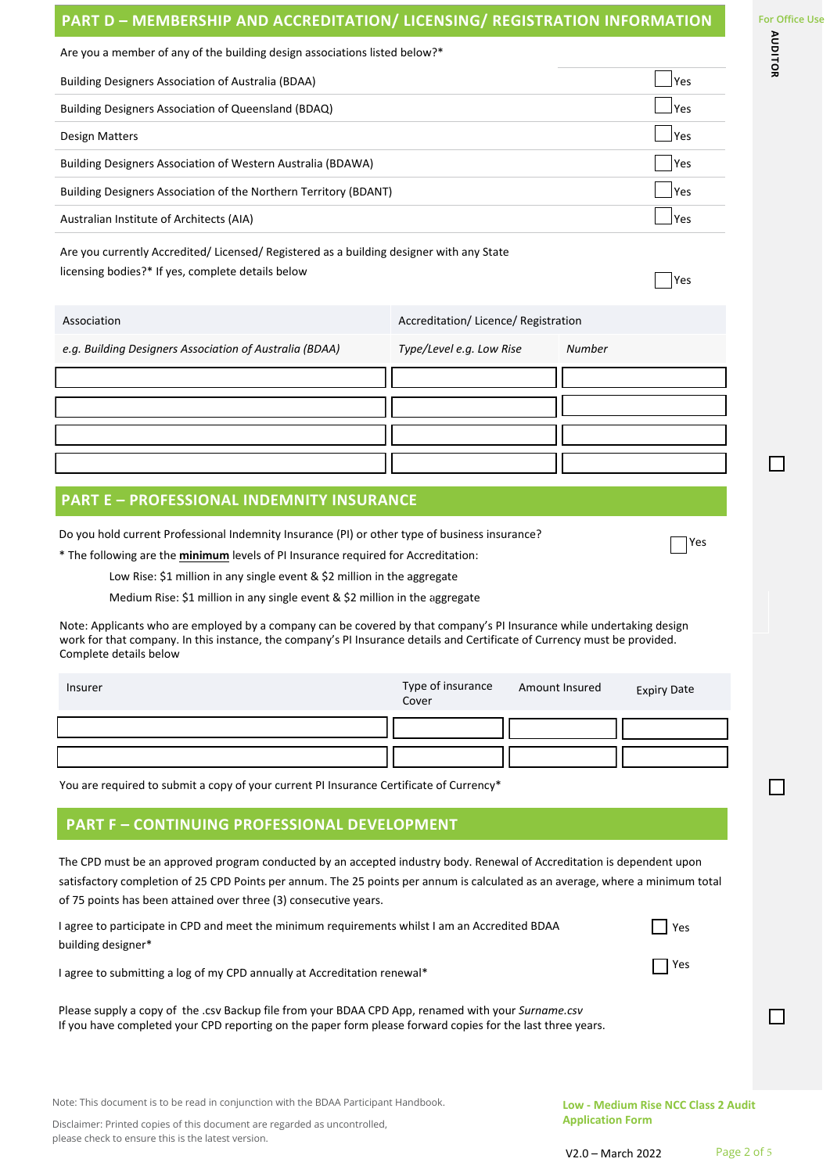# **PART D – MEMBERSHIP AND ACCREDITATION/ LICENSING/ REGISTRATION INFORMATION**

 $\Box$ 

 $\Box$ 

 $\Box$ 

| Are you a member of any of the building design associations listed below?*                                                                                                                                                                                                                                                                                                                                                              |                                    |                                      |  |
|-----------------------------------------------------------------------------------------------------------------------------------------------------------------------------------------------------------------------------------------------------------------------------------------------------------------------------------------------------------------------------------------------------------------------------------------|------------------------------------|--------------------------------------|--|
| <b>Building Designers Association of Australia (BDAA)</b>                                                                                                                                                                                                                                                                                                                                                                               |                                    | Yes                                  |  |
| Building Designers Association of Queensland (BDAQ)                                                                                                                                                                                                                                                                                                                                                                                     |                                    | Yes                                  |  |
| <b>Design Matters</b>                                                                                                                                                                                                                                                                                                                                                                                                                   |                                    | Yes                                  |  |
| Building Designers Association of Western Australia (BDAWA)                                                                                                                                                                                                                                                                                                                                                                             |                                    | Yes                                  |  |
| Building Designers Association of the Northern Territory (BDANT)                                                                                                                                                                                                                                                                                                                                                                        |                                    | Yes                                  |  |
| Australian Institute of Architects (AIA)                                                                                                                                                                                                                                                                                                                                                                                                |                                    | Yes                                  |  |
| Are you currently Accredited/ Licensed/ Registered as a building designer with any State<br>licensing bodies?* If yes, complete details below                                                                                                                                                                                                                                                                                           |                                    | Yes                                  |  |
| Association                                                                                                                                                                                                                                                                                                                                                                                                                             | Accreditation/Licence/Registration |                                      |  |
| e.g. Building Designers Association of Australia (BDAA)                                                                                                                                                                                                                                                                                                                                                                                 | Type/Level e.g. Low Rise           | <b>Number</b>                        |  |
|                                                                                                                                                                                                                                                                                                                                                                                                                                         |                                    |                                      |  |
|                                                                                                                                                                                                                                                                                                                                                                                                                                         |                                    |                                      |  |
|                                                                                                                                                                                                                                                                                                                                                                                                                                         |                                    |                                      |  |
|                                                                                                                                                                                                                                                                                                                                                                                                                                         |                                    |                                      |  |
|                                                                                                                                                                                                                                                                                                                                                                                                                                         |                                    |                                      |  |
| <b>PART E - PROFESSIONAL INDEMNITY INSURANCE</b>                                                                                                                                                                                                                                                                                                                                                                                        |                                    |                                      |  |
| Low Rise: \$1 million in any single event & \$2 million in the aggregate<br>Medium Rise: \$1 million in any single event & \$2 million in the aggregate<br>Note: Applicants who are employed by a company can be covered by that company's PI Insurance while undertaking design<br>work for that company. In this instance, the company's PI Insurance details and Certificate of Currency must be provided.<br>Complete details below |                                    |                                      |  |
| Insurer                                                                                                                                                                                                                                                                                                                                                                                                                                 | Type of insurance<br>Cover         | Amount Insured<br><b>Expiry Date</b> |  |
|                                                                                                                                                                                                                                                                                                                                                                                                                                         |                                    |                                      |  |
|                                                                                                                                                                                                                                                                                                                                                                                                                                         |                                    |                                      |  |
| You are required to submit a copy of your current PI Insurance Certificate of Currency*                                                                                                                                                                                                                                                                                                                                                 |                                    |                                      |  |
| <b>PART F - CONTINUING PROFESSIONAL DEVELOPMENT</b>                                                                                                                                                                                                                                                                                                                                                                                     |                                    |                                      |  |
| The CPD must be an approved program conducted by an accepted industry body. Renewal of Accreditation is dependent upon<br>satisfactory completion of 25 CPD Points per annum. The 25 points per annum is calculated as an average, where a minimum total<br>of 75 points has been attained over three (3) consecutive years.                                                                                                            |                                    |                                      |  |
| I agree to participate in CPD and meet the minimum requirements whilst I am an Accredited BDAA<br>building designer*                                                                                                                                                                                                                                                                                                                    |                                    | Yes                                  |  |
| Yes<br>I agree to submitting a log of my CPD annually at Accreditation renewal*                                                                                                                                                                                                                                                                                                                                                         |                                    |                                      |  |
| Please supply a copy of the .csv Backup file from your BDAA CPD App, renamed with your Surname.csv<br>If you have completed your CPD reporting on the paper form please forward copies for the last three years.                                                                                                                                                                                                                        |                                    |                                      |  |
|                                                                                                                                                                                                                                                                                                                                                                                                                                         |                                    |                                      |  |

Note: This document is to be read in conjunction with the BDAA Participant Handbook.

Disclaimer: Printed copies of this document are regarded as uncontrolled, please check to ensure this is the latest version.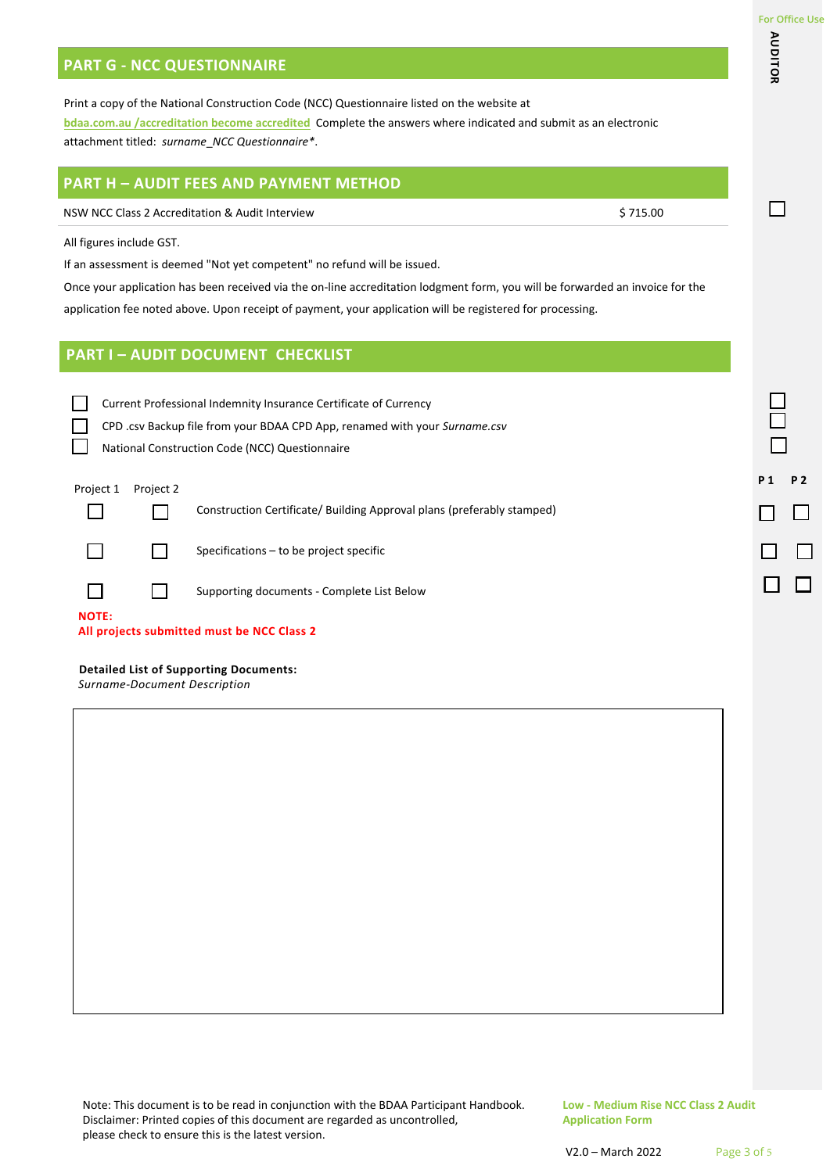**AUDITOR**

П

AUDITOR

## **PART G - NCC QUESTIONNAIRE**

Print a copy of the National Construction Code (NCC) Questionnaire listed on the website at **bdaa.com.au /accreditation become accredited** Complete the answers where indicated and submit as an electronic attachment titled: *surname*\_*NCC Questionnaire\**.

## **PART H – AUDIT FEES AND PAYMENT METHOD**

NSW NCC Class 2 Accreditation & Audit Interview \$ 715.00

All figures include GST.

If an assessment is deemed "Not yet competent" no refund will be issued.

Once your application has been received via the on-line accreditation lodgment form, you will be forwarded an invoice for the application fee noted above. Upon receipt of payment, your application will be registered for processing.

## **PART I – AUDIT DOCUMENT CHECKLIST**

Current Professional Indemnity Insurance Certificate of Currency

CPD .csv Backup file from your BDAA CPD App, renamed with your *Surname.csv*

National Construction Code (NCC) Questionnaire

## Project 1 Project 2 **P 1 P 2**

 $\Box$ 

**I** and

П

Construction Certificate/ Building Approval plans (preferably stamped)



П

Specifications – to be project specific

Supporting documents - Complete List Below

П **NOTE:**

**All projects submitted must be NCC Class 2**

#### **Detailed List of Supporting Documents:**

*Surname-Document Description*

Note: This document is to be read in conjunction with the BDAA Participant Handbook. Disclaimer: Printed copies of this document are regarded as uncontrolled, please check to ensure this is the latest version.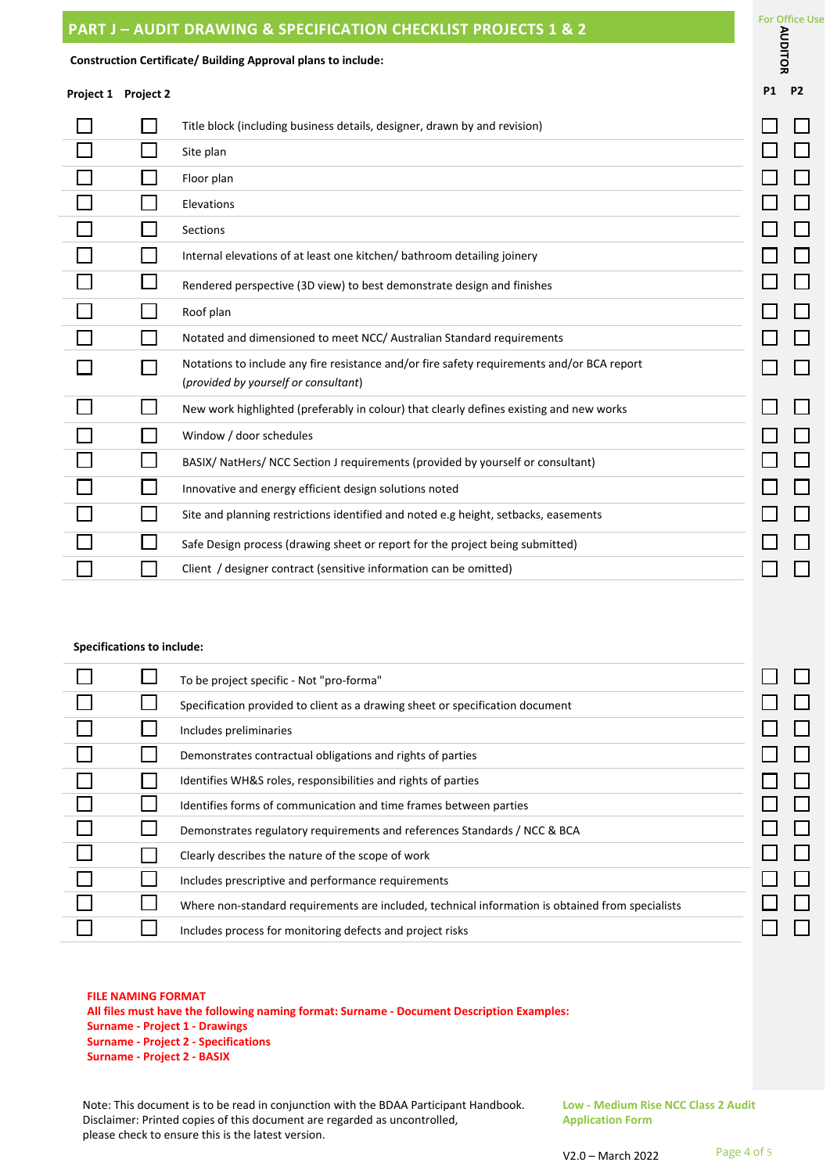| <b>PART J – AUDIT DRAWING &amp; SPECIFICATION CHECKLIST PROJECTS 1 &amp; 2</b> | ישוועי וש |
|--------------------------------------------------------------------------------|-----------|
| Construction Certificate/ Building Approval plans to include:                  |           |
| Project 1 Project 2                                                            | P1 P2     |

|  | Title block (including business details, designer, drawn by and revision)                                                          |  |
|--|------------------------------------------------------------------------------------------------------------------------------------|--|
|  | Site plan                                                                                                                          |  |
|  | Floor plan                                                                                                                         |  |
|  | Elevations                                                                                                                         |  |
|  | Sections                                                                                                                           |  |
|  | Internal elevations of at least one kitchen/bathroom detailing joinery                                                             |  |
|  | Rendered perspective (3D view) to best demonstrate design and finishes                                                             |  |
|  | Roof plan                                                                                                                          |  |
|  | Notated and dimensioned to meet NCC/ Australian Standard requirements                                                              |  |
|  | Notations to include any fire resistance and/or fire safety requirements and/or BCA report<br>(provided by yourself or consultant) |  |
|  | New work highlighted (preferably in colour) that clearly defines existing and new works                                            |  |
|  | Window / door schedules                                                                                                            |  |
|  | BASIX/ NatHers/ NCC Section J requirements (provided by yourself or consultant)                                                    |  |
|  | Innovative and energy efficient design solutions noted                                                                             |  |
|  | Site and planning restrictions identified and noted e.g height, setbacks, easements                                                |  |
|  | Safe Design process (drawing sheet or report for the project being submitted)                                                      |  |
|  | Client / designer contract (sensitive information can be omitted)                                                                  |  |

## **Specifications to include:**

|  | To be project specific - Not "pro-forma"                                                         |  |
|--|--------------------------------------------------------------------------------------------------|--|
|  | Specification provided to client as a drawing sheet or specification document                    |  |
|  | Includes preliminaries                                                                           |  |
|  | Demonstrates contractual obligations and rights of parties                                       |  |
|  | Identifies WH&S roles, responsibilities and rights of parties                                    |  |
|  | Identifies forms of communication and time frames between parties                                |  |
|  | Demonstrates regulatory requirements and references Standards / NCC & BCA                        |  |
|  | Clearly describes the nature of the scope of work                                                |  |
|  | Includes prescriptive and performance requirements                                               |  |
|  | Where non-standard requirements are included, technical information is obtained from specialists |  |
|  | Includes process for monitoring defects and project risks                                        |  |

#### **FILE NAMING FORMAT**

**All files must have the following naming format: Surname - Document Description Examples: Surname - Project 1 - Drawings Surname - Project 2 - Specifications Surname - Project 2 - BASIX**

Note: This document is to be read in conjunction with the BDAA Participant Handbook. Disclaimer: Printed copies of this document are regarded as uncontrolled, please check to ensure this is the latest version.

**Low - Medium Rise NCC Class 2 Audit Application Form**

For Office Use<br> **Property**<br> **Property** 

┑  $\overline{\phantom{a}}$  $\Box$  $\overline{\phantom{a}}$  $\overline{\phantom{a}}$ 

┓  $\Box$  $\Box$  $\mathbb{Z}$  $\Box$  $\Box$  $\Box$ ٦

 $\overline{\phantom{a}}$